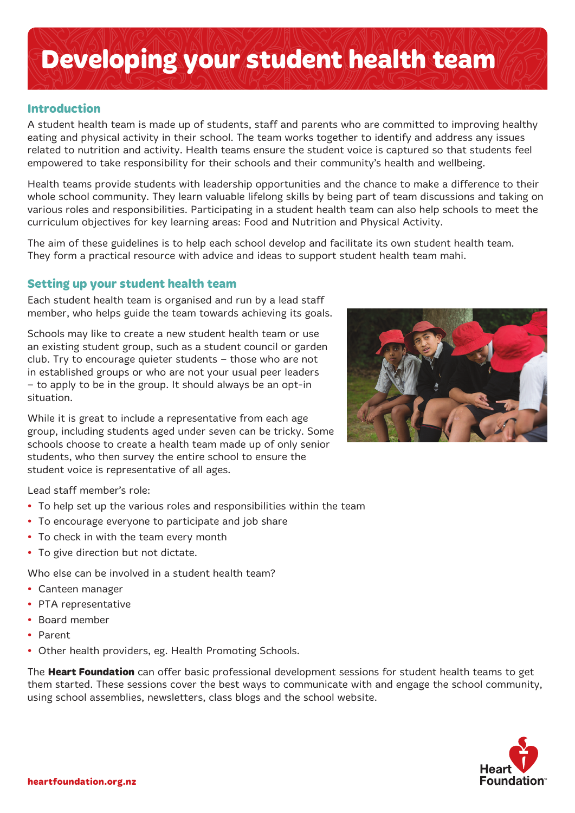# **Developing your student health team**

## **Introduction**

A student health team is made up of students, staff and parents who are committed to improving healthy eating and physical activity in their school. The team works together to identify and address any issues related to nutrition and activity. Health teams ensure the student voice is captured so that students feel empowered to take responsibility for their schools and their community's health and wellbeing.

Health teams provide students with leadership opportunities and the chance to make a difference to their whole school community. They learn valuable lifelong skills by being part of team discussions and taking on various roles and responsibilities. Participating in a student health team can also help schools to meet the curriculum objectives for key learning areas: Food and Nutrition and Physical Activity.

The aim of these guidelines is to help each school develop and facilitate its own student health team. They form a practical resource with advice and ideas to support student health team mahi.

#### **Setting up your student health team**

Each student health team is organised and run by a lead staff member, who helps guide the team towards achieving its goals.

Schools may like to create a new student health team or use an existing student group, such as a student council or garden club. Try to encourage quieter students – those who are not in established groups or who are not your usual peer leaders – to apply to be in the group. It should always be an opt-in situation.

While it is great to include a representative from each age group, including students aged under seven can be tricky. Some schools choose to create a health team made up of only senior students, who then survey the entire school to ensure the student voice is representative of all ages.

Lead staff member's role:

- **•**  To help set up the various roles and responsibilities within the team
- **•**  To encourage everyone to participate and job share
- **•**  To check in with the team every month
- **•**  To give direction but not dictate.

Who else can be involved in a student health team?

- **•**  Canteen manager
- **•**  PTA representative
- **•**  Board member
- **•**  Parent
- **•**  Other health providers, eg. Health Promoting Schools.

The **Heart Foundation** can offer basic professional development sessions for student health teams to get them started. These sessions cover the best ways to communicate with and engage the school community, using school assemblies, newsletters, class blogs and the school website.